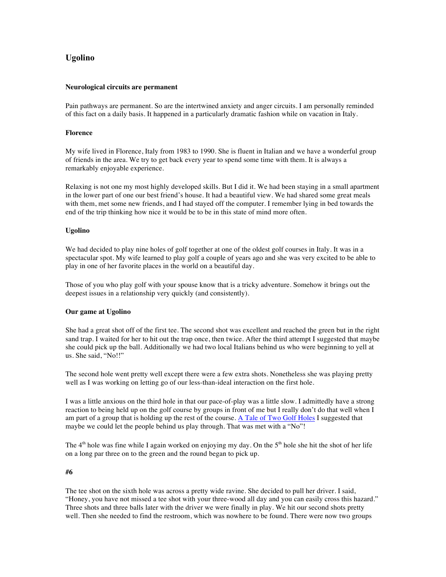# **Ugolino**

#### **Neurological circuits are permanent**

Pain pathways are permanent. So are the intertwined anxiety and anger circuits. I am personally reminded of this fact on a daily basis. It happened in a particularly dramatic fashion while on vacation in Italy.

#### **Florence**

My wife lived in Florence, Italy from 1983 to 1990. She is fluent in Italian and we have a wonderful group of friends in the area. We try to get back every year to spend some time with them. It is always a remarkably enjoyable experience.

Relaxing is not one my most highly developed skills. But I did it. We had been staying in a small apartment in the lower part of one our best friend's house. It had a beautiful view. We had shared some great meals with them, met some new friends, and I had stayed off the computer. I remember lying in bed towards the end of the trip thinking how nice it would be to be in this state of mind more often.

#### **Ugolino**

We had decided to play nine holes of golf together at one of the oldest golf courses in Italy. It was in a spectacular spot. My wife learned to play golf a couple of years ago and she was very excited to be able to play in one of her favorite places in the world on a beautiful day.

Those of you who play golf with your spouse know that is a tricky adventure. Somehow it brings out the deepest issues in a relationship very quickly (and consistently).

# **Our game at Ugolino**

She had a great shot off of the first tee. The second shot was excellent and reached the green but in the right sand trap. I waited for her to hit out the trap once, then twice. After the third attempt I suggested that maybe she could pick up the ball. Additionally we had two local Italians behind us who were beginning to yell at us. She said, "No!!"

The second hole went pretty well except there were a few extra shots. Nonetheless she was playing pretty well as I was working on letting go of our less-than-ideal interaction on the first hole.

I was a little anxious on the third hole in that our pace-of-play was a little slow. I admittedly have a strong reaction to being held up on the golf course by groups in front of me but I really don't do that well when I am part of a group that is holding up the rest of the course. A Tale of Two Golf Holes I suggested that maybe we could let the people behind us play through. That was met with a "No"!

The  $4<sup>th</sup>$  hole was fine while I again worked on enjoying my day. On the  $5<sup>th</sup>$  hole she hit the shot of her life on a long par three on to the green and the round began to pick up.

#### **#6**

The tee shot on the sixth hole was across a pretty wide ravine. She decided to pull her driver. I said, "Honey, you have not missed a tee shot with your three-wood all day and you can easily cross this hazard." Three shots and three balls later with the driver we were finally in play. We hit our second shots pretty well. Then she needed to find the restroom, which was nowhere to be found. There were now two groups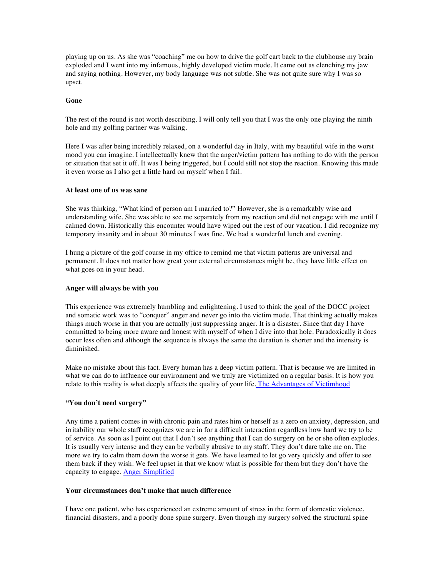playing up on us. As she was "coaching" me on how to drive the golf cart back to the clubhouse my brain exploded and I went into my infamous, highly developed victim mode. It came out as clenching my jaw and saying nothing. However, my body language was not subtle. She was not quite sure why I was so upset.

# **Gone**

The rest of the round is not worth describing. I will only tell you that I was the only one playing the ninth hole and my golfing partner was walking.

Here I was after being incredibly relaxed, on a wonderful day in Italy, with my beautiful wife in the worst mood you can imagine. I intellectually knew that the anger/victim pattern has nothing to do with the person or situation that set it off. It was I being triggered, but I could still not stop the reaction. Knowing this made it even worse as I also get a little hard on myself when I fail.

#### **At least one of us was sane**

She was thinking, "What kind of person am I married to?" However, she is a remarkably wise and understanding wife. She was able to see me separately from my reaction and did not engage with me until I calmed down. Historically this encounter would have wiped out the rest of our vacation. I did recognize my temporary insanity and in about 30 minutes I was fine. We had a wonderful lunch and evening.

I hung a picture of the golf course in my office to remind me that victim patterns are universal and permanent. It does not matter how great your external circumstances might be, they have little effect on what goes on in your head.

# **Anger will always be with you**

This experience was extremely humbling and enlightening. I used to think the goal of the DOCC project and somatic work was to "conquer" anger and never go into the victim mode. That thinking actually makes things much worse in that you are actually just suppressing anger. It is a disaster. Since that day I have committed to being more aware and honest with myself of when I dive into that hole. Paradoxically it does occur less often and although the sequence is always the same the duration is shorter and the intensity is diminished.

Make no mistake about this fact. Every human has a deep victim pattern. That is because we are limited in what we can do to influence our environment and we truly are victimized on a regular basis. It is how you relate to this reality is what deeply affects the quality of your life. The Advantages of Victimhood

# **"You don't need surgery"**

Any time a patient comes in with chronic pain and rates him or herself as a zero on anxiety, depression, and irritability our whole staff recognizes we are in for a difficult interaction regardless how hard we try to be of service. As soon as I point out that I don't see anything that I can do surgery on he or she often explodes. It is usually very intense and they can be verbally abusive to my staff. They don't dare take me on. The more we try to calm them down the worse it gets. We have learned to let go very quickly and offer to see them back if they wish. We feel upset in that we know what is possible for them but they don't have the capacity to engage. Anger Simplified

#### **Your circumstances don't make that much difference**

I have one patient, who has experienced an extreme amount of stress in the form of domestic violence, financial disasters, and a poorly done spine surgery. Even though my surgery solved the structural spine